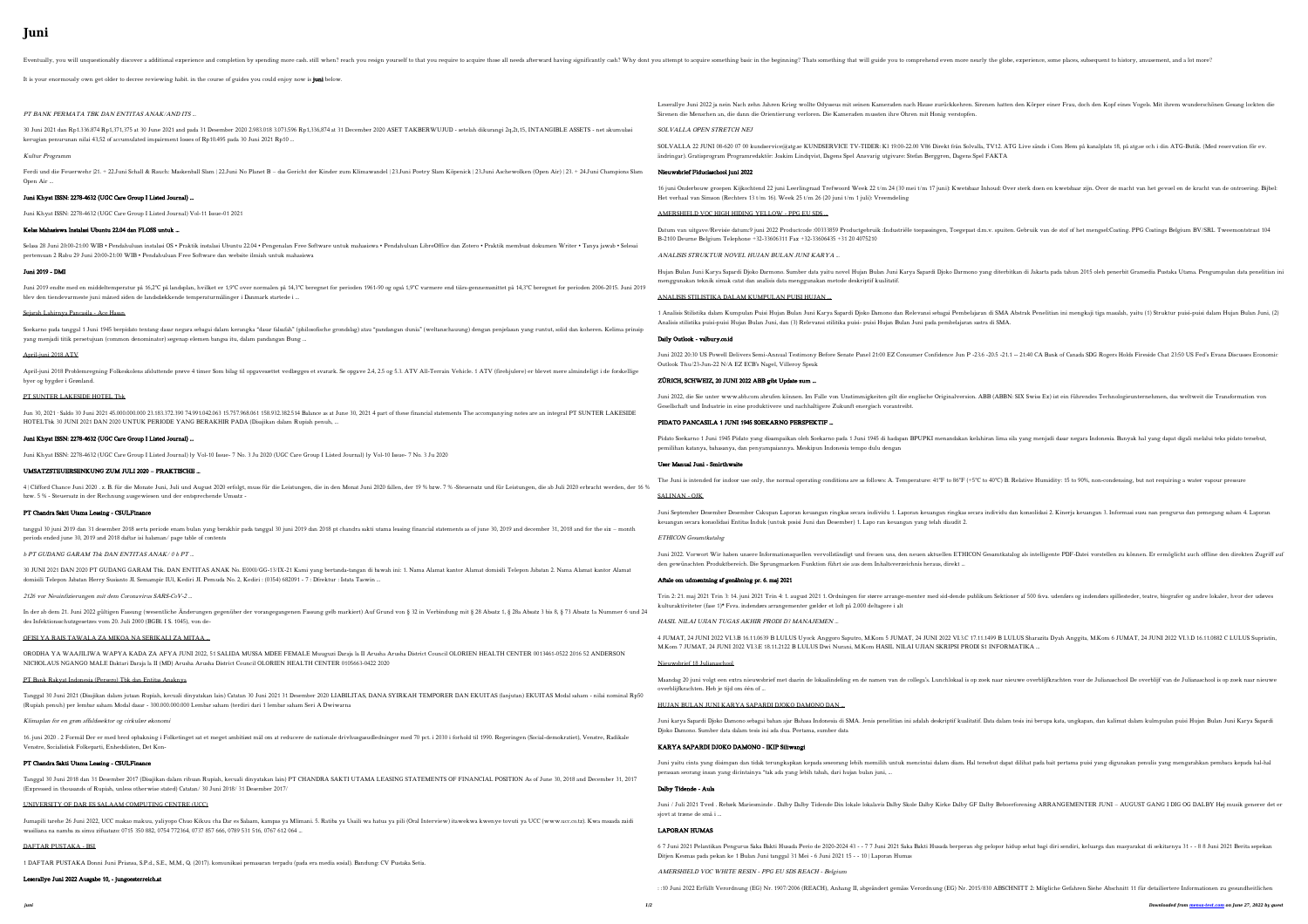# **Juni**

# PT BANK PERMATA TBK DAN ENTITAS ANAK/AND ITS …

### Kultur Programm

### Juni Khyat ISSN: 2278-4632 (UGC Care Group I Listed Journal) …

## Kelas Mahasiswa Instalasi Ubuntu 22.04 dan FLOSS untuk …

### Juni 2019 - DMI

#### Sejarah Lahirnya Pancasila - Ace Hasan

#### April-juni 2018 ATV

#### PT SUNTER LAKESIDE HOTEL Tbk

#### Juni Khyat ISSN: 2278-4632 (UGC Care Group I Listed Journal) …

## UMSATZSTEUERSENKUNG ZUM JULI 2020 – PRAKTISCHE …

### PT Chandra Sakti Utama Leasing - CSULFinance

## b PT GUDANG GARAM Tbk DAN ENTITAS ANAK/ 0 b PT …

# OFISI YA RAIS TAWALA ZA MIKOA NA SERIKALI ZA MITAA …

#### Klimaplan for en grøn affaldssektor og cirkulær økonomi

#### PT Chandra Sakti Utama Leasing - CSULFinance

#### UNIVERSITY OF DAR ES SALAAM COMPUTING CENTRE (UCC)

# DAFTAR PUSTAKA - BSI

| Eventually, you will unquestionably discover a additional experience and completion by spending more cash. still when? reach you resign yourself to that you resign yourself to that you require to acquire those all needs af                                                                                                                        |                                                                                                                                                                                                                                                                                                                                                                 |
|-------------------------------------------------------------------------------------------------------------------------------------------------------------------------------------------------------------------------------------------------------------------------------------------------------------------------------------------------------|-----------------------------------------------------------------------------------------------------------------------------------------------------------------------------------------------------------------------------------------------------------------------------------------------------------------------------------------------------------------|
| It is your enormously own get older to decree reviewing habit. in the course of guides you could enjoy now is juni below.                                                                                                                                                                                                                             |                                                                                                                                                                                                                                                                                                                                                                 |
| PT BANK PERMATA TBK DAN ENTITAS ANAK/AND ITS                                                                                                                                                                                                                                                                                                          | Leserallye Juni 2022 ja nein Nach zehn Jahren Krieg wollte Odysseus mit seinen Kameraden nach Hause zurückkehren. Sirenen hatten den Körper einer Frau, doch den Kopf eines Vogels. Mit ihrem wunderschi<br>Sirenen die Menschen an, die dann die Orientierung verloren. Die Kameraden mussten ihre Ohren mit Honig verstopfen.                                 |
| 30 Juni 2021 dan Rp1.336.874 Rp1.371,375 at 30 June 2021 and pada 31 Desember 2020 2.983.018 3.073.596 Rp1,336,874 at 31 December 2020 ASET TAKBERWUJUD - setelah dikurangi 2q,2t,15, INTANGIBLE ASSETS - net akumulasi                                                                                                                               | SOLVALLA OPEN STRETCH NEJ                                                                                                                                                                                                                                                                                                                                       |
| kerugian penurunan nilai 43,52 of accumulated impairment losses of Rp10.495 pada 30 Juni 2021 Rp10<br>Kultur Programm                                                                                                                                                                                                                                 | SOLVALLA 22 JUNI 08-620 07 00 kundservice@atg.se KUNDSERVICE TV-TIDER: K1 19.00-22.00 V86 Direkt från Solvalla, TV12. ATG Live sänds i Com Hem på kanalplats 18, på atg.se och i din ATG-Butik. (Me<br>ändringar). Gratisprogram Programredaktör: Joakim Lindqvist, Dagens Spel Ansvarig utgivare: Stefan Berggren, Dagens Spel FAKTA                           |
| Ferdi und die Feuerwehr [21, + 22.Juni Schall & Rauch: Maskenball Slam   22.Juni No Planet B – das Gericht der Kinder zum Klimawandel   23.Juni Poetry Slam Köpenick   23.Juni Aschewolken (Open Air)   23. + 24.Juni Champion                                                                                                                        | Nieuwsbrief Fiduciaschool juni 2022                                                                                                                                                                                                                                                                                                                             |
| Open Air                                                                                                                                                                                                                                                                                                                                              | 16 juni Onderbouw groepen Kijkochtend 22 juni Leerlingraad Trefwoord Week 22 t/m 24 (30 mei t/m 17 juni): Kwetsbaar Inhoud: Over sterk doen en kwetsbaar zijn. Over de macht van het gevoel en de kracht                                                                                                                                                        |
| Juni Khyat ISSN: 2278-4632 (UGC Care Group I Listed Journal)                                                                                                                                                                                                                                                                                          | Het verhaal van Simson (Rechters 13 t/m 16). Week 25 t/m 26 (20 juni t/m 1 juli): Vreemdeling                                                                                                                                                                                                                                                                   |
| Juni Khyat ISSN: 2278-4632 (UGC Care Group I Listed Journal) Vol-11 Issue-01 2021<br>Kelas Mahasiswa Instalasi Ubuntu 22.04 dan FLOSS untuk                                                                                                                                                                                                           | AMERSHIELD VOC HIGH HIDING YELLOW - PPG EU SDS<br>Datum van uitgave/Revisie datum:9 juni 2022 Productcode :00333859 Productgebruik :Industriële toepassingen, Toegepast d.m.v. spuiten. Gebruik van de stof of het mengsel:Coating. PPG Coatings Belgium BV/SR                                                                                                  |
| Selasa 28 Juni 20:00-21:00 WIB • Pendahuluan instalasi OS • Praktik instalasi Ubuntu 22.04 • Pengenalan Free Software untuk mahasiswa • Pendahuluan LibreOffice dan Zotero • Praktik membuat dokumen Writer • Tanya jawab • Se<br>pertemuan 2 Rabu 29 Juni 20:00-21:00 WIB · Pendahuluan Free Software dan website ilmiah untuk mahasiswa             | B-2100 Deurne Belgium Telephone +32-33606311 Fax +32-33606435 +31 20 4075210<br>ANALISIS STRUKTUR NOVEL HUJAN BULAN JUNI KARYA.                                                                                                                                                                                                                                 |
| Juni 2019 - DMI                                                                                                                                                                                                                                                                                                                                       | Hujan Bulan Juni Karya Sapardi Djoko Darmono. Sumber data yaitu novel Hujan Bulan Juni Karya Sapardi Djoko Darmono yang diterbitkan di Jakarta pada tahun 2015 oleh penerbit Gramedia Pustaka Utama. Peng                                                                                                                                                       |
| Juni 2019 endte med en middeltemperatur på 16,2°C på landsplan, hvilket er 1,9°C over normalen på 14,3°C beregnet for perioden 1961-90 og også 1,9°C varmere end tiårs-gennemsnittet på 14,3°C beregnet for perioden 2006-2015                                                                                                                        | menggunakan teknik simak catat dan analisis data menggunakan metode deskriptif kualitatif.                                                                                                                                                                                                                                                                      |
| blev den tiendevarmeste juni måned siden de landsdækkende temperaturmålinger i Danmark startede i                                                                                                                                                                                                                                                     | ANALISIS STILISTIKA DALAM KUMPULAN PUISI HUJAN.                                                                                                                                                                                                                                                                                                                 |
| Sejarah Lahirnya Pancasila - Ace Hasan<br>Soekarno pada tanggal 1 Juni 1945 berpidato tentang dasar negara sebagai dalam kerangka "dasar falsafah" (philosofische grondslag) atau "pandangan dunia" (weltanschauung) dengan penjelasan yang runtut, solid dan koheren. K                                                                              | 1 Analisis Stilistika dalam Kumpulan Puisi Hujan Bulan Juni Karya Sapardi Djoko Damono dan Relevansi sebagai Pembelajaran di SMA Abstrak Penelitian ini mengkaji tiga masalah, yaitu (1) Struktur puisi-puisi da<br>Analisis stilistika puisi-puisi Hujan Bulan Juni, dan (3) Relevansi stilitika puisi-puisi Hujan Bulan Juni pada pembelajaran sastra di SMA. |
| yang menjadi titik persetujuan (common denominator) segenap elemen bangsa itu, dalam pandangan Bung                                                                                                                                                                                                                                                   | Daily Outlook - valbury.co.id                                                                                                                                                                                                                                                                                                                                   |
| April-juni 2018 ATV                                                                                                                                                                                                                                                                                                                                   | Juni 2022 20:30 US Powell Delivers Semi-Annual Testimony Before Senate Panel 21:00 EZ Consumer Confidence Jun P -23.6 -20.5 -21.1 -- 21:40 CA Bank of Canada SDG Rogers Holds Fireside Chat 23:50 US Fed's 1<br>Outlook Thu/23-Jun-22 N/A EZ ECB's Nagel, Villeroy Speak                                                                                        |
| April-juni 2018 Problemregning Folkeskolens afsluttende prøve 4 timer Som bilag til opgavesættet vedlægges et svarark. Se opgave 2.4, 2.5 og 5.3. ATV All-Terrain Vehicle. 1 ATV (firehjulere) er blevet mere almindeligt i de<br>byer og bygder i Grønland.                                                                                          | ZÜRICH, SCHWEIZ, 20 JUNI 2022 ABB gibt Update zum                                                                                                                                                                                                                                                                                                               |
| PT SUNTER LAKESIDE HOTEL Tbk<br>Jun 30, 2021 · Saldo 30 Juni 2021 45.000.000.000 23.183.372.390 74.991.042.063 15.757.968.061 158.932.382.514 Balance as at June 30, 2021 4 part of these financial statements The accompanying notes are an integral PT SUNTE                                                                                        | Juni 2022, die Sie unter www.abb.com abrufen können. Im Falle von Unstimmigkeiten gilt die englische Originalversion. ABB (ABBN: SIX Swiss Ex) ist ein führendes Technologieunternehmen, das weltweit die<br>Gesellschaft und Industrie in eine produktivere und nachhaltigere Zukunft energisch vorantreibt.                                                   |
| HOTELTbk 30 JUNI 2021 DAN 2020 UNTUK PERIODE YANG BERAKHIR PADA (Disajikan dalam Rupiah penuh,                                                                                                                                                                                                                                                        | PIDATO PANCASILA 1 JUNI 1945 SOEKARNO PERSPEKTIF.                                                                                                                                                                                                                                                                                                               |
| Juni Khyat ISSN: 2278-4632 (UGC Care Group I Listed Journal)                                                                                                                                                                                                                                                                                          | Pidato Soekarno 1 Juni 1945 Pidato yang disampaikan oleh Soekarno pada 1 Juni 1945 di hadapan BPUPKI menandakan kelahiran lima sila yang menjadi dasar negara Indonesia. Banyak hal yang dapat digali melalu:<br>pemilihan katanya, bahasanya, dan penyampaiannya. Meskipun Indonesia tempo dulu dengan                                                         |
| Juni Khyat ISSN: 2278-4632 (UGC Care Group I Listed Journal) ly Vol-10 Issue- 7 No. 3 Ju 2020 (UGC Care Group I Listed Journal) ly Vol-10 Issue- 7 No. 3 Ju 2020                                                                                                                                                                                      | User Manual Juni - Smirthwaite                                                                                                                                                                                                                                                                                                                                  |
| UMSATZSTEUERSENKUNG ZUM JULI 2020 - PRAKTISCHE                                                                                                                                                                                                                                                                                                        | The Juni is intended for indoor use only, the normal operating conditions are as follows: A. Temperature: 41°F to 86°F (+5°C to 40°C) B. Relative Humidity: 15 to 90%, non-condensing, but not requiring a water vap                                                                                                                                            |
| 4   Clifford Chance Juni 2020 . z. B. für die Monate Juni, Juli und August 2020 erfolgt, muss für die Leistungen, die in den Monat Juni 2020 fallen, der 19 % bzw. 7 % -Steuersatz und für Leistungen, die ab Juli 2020 erbrac<br>bzw. 5 % - Steuersatz in der Rechnung ausgewiesen und der entsprechende Umsatz -                                    | <b>SALINAN - OJK</b>                                                                                                                                                                                                                                                                                                                                            |
| PT Chandra Sakti Utama Leasing - CSULFinance                                                                                                                                                                                                                                                                                                          | Juni September Desember Desember Cakupan Laporan keuangan ringkas secara individu 1. Laporan keuangan ringkas secara individu dan konsolidasi 2. Kinerja keuangan 3. Informasi susu nan pengurus dan peme                                                                                                                                                       |
| tanggal 30 juni 2019 dan 31 desember 2018 serta periode enam bulan yang berakhir pada tanggal 30 juni 2019 dan 2018 pt chandra sakti utama leasing financial statements as of june 30, 2019 and december 31, 2018 and for the<br>periods ended june 30, 2019 and 2018 daftar isi halaman/ page table of contents                                      | keuangan secara konsolidasi Entitas Induk (untuk posisi Juni dan Desember) 1. Lapo ran keuangan yang telah diaudit 2.<br>ETHICON Gesamtkatalog                                                                                                                                                                                                                  |
| <b>b PT GUDANG GARAM Tbk DAN ENTITAS ANAK/0 b PT </b>                                                                                                                                                                                                                                                                                                 | Juni 2022. Vorwort Wir haben unsere Informationsquellen vervollständigt und freuen uns, den neuen aktuellen ETHICON Gesamtkatalog als intelligente PDF-Datei vorstellen zu können. Er ermöglicht auch offli:                                                                                                                                                    |
| 30 JUNI 2021 DAN 2020 PT GUDANG GARAM Tbk. DAN ENTITAS ANAK No. E0001/GG-13/IX-21 Kami yang bertanda-tangan di bawah ini: 1. Nama Alamat kantor Alamat domisili Telepon Jabatan 2. Nama Alamat kantor Alamat<br>domisili Telepon Jabatan Herry Susianto JI. Semampir IUI, Kediri JI. Pemuda No. 2, Kediri: (0354) 682091 - 7: Dfrektur: Istata Taswin | den gewünschten Produktbereich. Die Sprungmarken Funktion führt sie aus dem Inhaltsverzeichnis heraus, direkt …<br>Aftale om udmøntning af genåbning pr. 6. maj 2021                                                                                                                                                                                            |
| 2126 vor Neuinfizierungen mit dem Coronavirus SARS-CoV-2                                                                                                                                                                                                                                                                                              | Trin 2: 21. maj 2021 Trin 3: 14. juni 2021 Trin 4: 1. august 2021 1. Ordningen for større arrange-menter med sid-dende publikum Sektioner af 500 fsva. udenførs og indendørs spillesteder, teatre, biografer og andre le                                                                                                                                        |
| In der ab dem 21. Juni 2022 gültigen Fassung (wesentliche Änderungen gegenüber der vorangegangenen Fassung gelb markiert) Auf Grund von § 32 in Verbindung mit § 28 Absatz 1, § 28a Absatz 3 bis 8, § 73 Absatz 1a Nummer 6 un                                                                                                                        | kulturaktiviteter (fase 1)* Fsva. indendørs arrangementer gælder et loft på 2.000 deltagere i alt                                                                                                                                                                                                                                                               |
| des Infektionsschutzgesetzes vom 20. Juli 2000 (BGBl. I S. 1045), von de-                                                                                                                                                                                                                                                                             | HASIL NILAI UJIAN TUGAS AKHIR PRODI D3 MANAJEMEN.                                                                                                                                                                                                                                                                                                               |
| OFISI YA RAIS TAWALA ZA MIKOA NA SERIKALI ZA MITAA<br>ORODHA YA WAAJILIWA WAPYA KADA ZA AFYA JUNI 2022, 51 SALIDA MUSSA MDEE FEMALE Muuguzi Daraja la II Arusha Arusha District Council OLORIEN HEALTH CENTER 0013461-0522 2016 52 ANDERSON                                                                                                           | 4 JUMAT, 24 JUNI 2022 VI.3.B 16.11.0639 B LULUS Uyock Anggoro Saputro, M.Kom 5 JUMAT, 24 JUNI 2022 VI.3.C 17.11.1499 B LULUS Sharazita Dyah Anggita, M.Kom 6 JUMAT, 24 JUNI 2022 VI.3.D 16.11.0639 B LULUS Sharazita Dyah Angg<br>M.Kom 7 JUMAT, 24 JUNI 2022 VI.3.E 18.11.2122 B LULUS Dwi Nurani, M.Kom HASIL NILAI UJIAN SKRIPSI PRODI S1 INFORMATIKA        |
| NICHOLAUS NGANGO MALE Daktari Daraja la II (MD) Arusha Arusha District Council OLORIEN HEALTH CENTER 0105663-0422 2020                                                                                                                                                                                                                                | Nieuwsbrief 18 Julianaschool                                                                                                                                                                                                                                                                                                                                    |
| PT Bank Rakyat Indonesia (Persero) Tbk dan Entitas Anaknya<br>Tanggal 30 Juni 2021 (Disajikan dalam jutaan Rupiah, kecuali dinyatakan lain) Catatan 30 Juni 2021 31 Desember 2020 LIABILITAS, DANA SYIRKAH TEMPORER DAN EKUITAS (lanjutan) EKUITAS Modal saham - nilai nominal Rp50                                                                   | Maandag 20 juni volgt een extra nieuwsbrief met daarin de lokaalindeling en de namen van de collega's. Lunchlokaal is op zoek naar nieuwe overblijfkrachten voor de Julianaschool De overblijf van de Julianaschoo<br>overblijfkrachten. Heb je tijd om één of                                                                                                  |
| (Rupiah penuh) per lembar saham Modal dasar - 300.000.000.000 Lembar saham (terdiri dari 1 lembar saham Seri A Dwiwarna                                                                                                                                                                                                                               | HUJAN BULAN JUNI KARYA SAPARDI DJOKO DAMONO DAN                                                                                                                                                                                                                                                                                                                 |
| Klimaplan for en grøn affaldssektor og cirkulær økonomi                                                                                                                                                                                                                                                                                               | Juni karya Sapardi Djoko Damono sebagai bahan ajar Bahasa Indonesia di SMA. Jenis penelitian ini adalah deskriptif kualitatif. Data dalam tesis ini berupa kata, ungkapan, dan kalimat dalam kulmpulan puisi Hujan Bu<br>Djoko Damono. Sumber data dalam tesis ini ada dua. Pertama, sumber data                                                                |
| 16. juni 2020. 2 Formål Der er med bred opbakning i Folketinget sat et meget ambitiøst mål om at reducere de nationale drivhusgasudledninger med 70 pct. i 2030 i forhold til 1990. Regeringen (Social-demokratiet), Venstre,<br>Venstre, Socialistisk Folkeparti, Enhedslisten, Det Kon-                                                             | KARYA SAPARDI DJOKO DAMONO - IKIP Siliwangi                                                                                                                                                                                                                                                                                                                     |
| PT Chandra Sakti Utama Leasing - CSULFinance                                                                                                                                                                                                                                                                                                          | Juni yaitu cinta yang disimpan dan tidak terungkapkan kepada seseorang lebih memilih untuk mencintai dalam diam. Hal tersebut dapat dilihat pada bait pertama puisi yang digunakan penulis yang mengarahkan p<br>perasaan seorang insan yang dicintainya "tak ada yang lebih tabah, dari hujan bulan juni,                                                      |
| Tanggal 30 Juni 2018 dan 31 Desember 2017 (Disajikan dalam ribuan Rupiah, kecuali dinyatakan lain) PT CHANDRA SAKTI UTAMA LEASING STATEMENTS OF FINANCIAL POSITION As of June 30, 2018 and December 31, 2017<br>(Expressed in thousands of Rupiah, unless otherwise stated) Catatan/ 30 Juni 2018/31 Desember 2017/                                   | Dalby Tidende - Aula                                                                                                                                                                                                                                                                                                                                            |
| UNIVERSITY OF DAR ES SALAAM COMPUTING CENTRE (UCC)                                                                                                                                                                                                                                                                                                    | Juni / Juli 2021 Tved. Rebæk Mariesminde. Dalby Dalby Tidende Din lokale lokalavis Dalby Skole Dalby Kirke Dalby GF Dalby Beboerforening ARRANGEMENTER JUNI - AUGUST GANG I DIG OG DALBY<br>sjovt at træne de små i                                                                                                                                             |
| Jumapili tarehe 26 Juni 2022, UCC makao makuu, yaliyopo Chuo Kikuu cha Dar es Salaam, kampas ya Mlimani. 5. Ratiba ya Usaili wa hatua ya pili (Oral Interview) itawekwa kwenye tovuti ya UCC (www.ucc.co.tz). Kwa msaada zaidi<br>wasiliana na namba za simu zifuatazo: 0715 350 882, 0754 772364, 0737 857 666, 0789 531 516, 0767 612 064           | <b>LAPORAN HUMAS</b>                                                                                                                                                                                                                                                                                                                                            |
| DAFTAR PUSTAKA - BSI                                                                                                                                                                                                                                                                                                                                  | 67 Juni 2021 Pelantikan Pengurus Saka Bakti Husada Perio de 2020-2024 43 - - 77 Juni 2021 Saka Bakti Husada berperan sbg pelopor hidup sehat bagi diri sendiri, keluarga dan masyarakat di sekitarnya 31 - - 88 Ju                                                                                                                                              |
| 1 DAFTAR PUSTAKA Donni Juni Priansa, S.P.d., S.E., M,M., Q. (2017). komunikasi pemasaran terpadu (pada era media sosial). Bandung: CV Pustaka Setia.                                                                                                                                                                                                  | Ditjen Kesmas pada pekan ke 1 Bulan Juni tanggal 31 Mei - 6 Juni 2021 15 - - 10   Laporan Humas                                                                                                                                                                                                                                                                 |
|                                                                                                                                                                                                                                                                                                                                                       | AMERSHIELD VOC WHITE RESIN - PPG EU SDS REACH - Belgium                                                                                                                                                                                                                                                                                                         |

### Leserallye Juni 2022 Ausgabe 10, - jungoesterreich.at

: :10 Juni 2022 Erfüllt Verordnung (EG) Nr. 1907/2006 (REACH), Anhang II, abgeändert gemäss Verordnung (EG) Nr. 2015/830 ABSCHNITT 2: Mögliche Gefahren Siehe Abschnitt 11 für detailiertere Informationen zu gesundheitlichen

enen hatten den Körper einer Frau, doch den Kopf eines Vogels. Mit ihrem wunderschönen Gesang lockten die

SOLUTI 22 JUNI 22 JUNI 09-620 prinservice.<br>SOLUTE TV-TIDER: Kunder från Solvalla, TV-Butider, TV-Fränds för ev. Solvalla, TV12. ATG-Butik. (Med reservation för ev.

nhoud: Over sterk doen en kwetsbaar zijn. Over de macht van het gevoel en de kracht van de ontroering. Bijbel:

n.v. spuiten. Gebruik van de stof of het mengsel:Coating. PPG Coatings Belgium BV/SRL Tweemontstraat 104

nng diterbitkan di Jakarta pada tahun 2015 oleh penerbit Gramedia Pustaka Utama. Pengumpulan data penelitian ini

n di SMA Abstrak Penelitian ini mengkaji tiga masalah, yaitu (1) Struktur puisi-puisi dalam Hujan Bulan Juni, (2)

-20.5 -21.1 -- 21:40 CA Bank of Canada SDG Rogers Holds Fireside Chat 23:50 US Fed's Evans Discusses Economic

BB (ABBN: SIX Swiss Ex) ist ein führendes Technologieunternehmen, das weltweit die Transformation von

iran lima sila yang menjadi dasar negara Indonesia. Banyak hal yang dapat digali melalui teks pidato tersebut,

o 40°C) B. Relative Humidity: 15 to 90%, non-condensing, but not requiring a water vapour pressure

individu dan konsolidasi 2. Kinerja keuangan 3. Informasi susu nan pengurus dan pemegang saham 4. Laporan

Gesamtkatalog als intelligente PDF-Datei vorstellen zu können. Er ermöglicht auch offline den direkten Zugriff auf

um Sektioner af 500 fsva. udenførs og indendørs spillesteder, teatre, biografer og andre lokaler, hvor der udøves

1499 B LULUS Sharazita Dyah Anggita, M.Kom 6 JUMAT, 24 JUNI 2022 VI.3.D 16.11.0882 C LULUS Supriatin, 1 INFORMATIKA ...

ek naar nieuwe overblijfkrachten voor de Julianaschool De overblijf van de Julianaschool is op zoek naar nieuwe

.<br>Data dalam tesis ini berupa kata, ungkapan, dan kalimat dalam kulmpulan puisi Hujan Bulan Juni Karya Sapardi

sebut dapat dilihat pada bait pertama puisi yang digunakan penulis yang mengarahkan pembaca kepada hal-hal

alby Beboerforening ARRANGEMENTER JUNI – AUGUST GANG I DIG OG DALBY Høj musik generer det er

pelopor hidup sehat bagi diri sendiri, keluarga dan masyarakat di sekitarnya 31 - - 8 8 Juni 2021 Berita sepekan